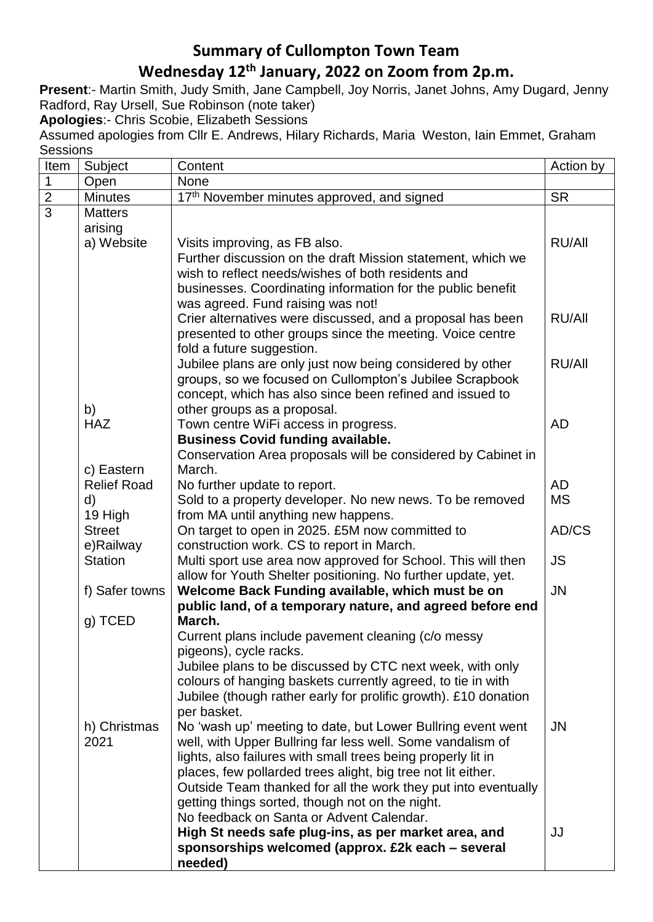# **Summary of Cullompton Town Team**

## **Wednesday 12 th January, 2022 on Zoom from 2p.m.**

**Present**:- Martin Smith, Judy Smith, Jane Campbell, Joy Norris, Janet Johns, Amy Dugard, Jenny Radford, Ray Ursell, Sue Robinson (note taker)

**Apologies**:- Chris Scobie, Elizabeth Sessions

Assumed apologies from Cllr E. Andrews, Hilary Richards, Maria Weston, Iain Emmet, Graham **Sessions** 

| Item           | Subject                     | Content                                                                                                                    | Action by     |
|----------------|-----------------------------|----------------------------------------------------------------------------------------------------------------------------|---------------|
| $\mathbf 1$    | Open                        | None                                                                                                                       |               |
| $\overline{2}$ | <b>Minutes</b>              | 17th November minutes approved, and signed                                                                                 | <b>SR</b>     |
| $\overline{3}$ | <b>Matters</b>              |                                                                                                                            |               |
|                | arising                     |                                                                                                                            |               |
|                | a) Website                  | Visits improving, as FB also.                                                                                              | <b>RU/All</b> |
|                |                             | Further discussion on the draft Mission statement, which we                                                                |               |
|                |                             | wish to reflect needs/wishes of both residents and                                                                         |               |
|                |                             | businesses. Coordinating information for the public benefit                                                                |               |
|                |                             | was agreed. Fund raising was not!                                                                                          |               |
|                |                             | Crier alternatives were discussed, and a proposal has been                                                                 | RU/All        |
|                |                             | presented to other groups since the meeting. Voice centre                                                                  |               |
|                |                             | fold a future suggestion.<br>Jubilee plans are only just now being considered by other                                     | <b>RU/All</b> |
|                |                             | groups, so we focused on Cullompton's Jubilee Scrapbook                                                                    |               |
|                |                             | concept, which has also since been refined and issued to                                                                   |               |
|                | b)                          | other groups as a proposal.                                                                                                |               |
|                | <b>HAZ</b>                  | Town centre WiFi access in progress.                                                                                       | <b>AD</b>     |
|                |                             | <b>Business Covid funding available.</b>                                                                                   |               |
|                |                             | Conservation Area proposals will be considered by Cabinet in                                                               |               |
|                | c) Eastern                  | March.                                                                                                                     |               |
|                | <b>Relief Road</b>          | No further update to report.                                                                                               | <b>AD</b>     |
|                | d)                          | Sold to a property developer. No new news. To be removed                                                                   | <b>MS</b>     |
|                | 19 High                     | from MA until anything new happens.                                                                                        |               |
|                | <b>Street</b>               | On target to open in 2025. £5M now committed to<br>construction work. CS to report in March.                               | AD/CS         |
|                | e)Railway<br><b>Station</b> | Multi sport use area now approved for School. This will then                                                               | <b>JS</b>     |
|                |                             | allow for Youth Shelter positioning. No further update, yet.                                                               |               |
|                | f) Safer towns              | Welcome Back Funding available, which must be on                                                                           | <b>JN</b>     |
|                |                             | public land, of a temporary nature, and agreed before end                                                                  |               |
|                | $g)$ TCED                   | March.                                                                                                                     |               |
|                |                             | Current plans include pavement cleaning (c/o messy                                                                         |               |
|                |                             | pigeons), cycle racks.                                                                                                     |               |
|                |                             | Jubilee plans to be discussed by CTC next week, with only                                                                  |               |
|                |                             | colours of hanging baskets currently agreed, to tie in with                                                                |               |
|                |                             | Jubilee (though rather early for prolific growth). £10 donation                                                            |               |
|                |                             | per basket.                                                                                                                |               |
|                | h) Christmas                | No 'wash up' meeting to date, but Lower Bullring event went                                                                | JN            |
|                | 2021                        | well, with Upper Bullring far less well. Some vandalism of<br>lights, also failures with small trees being properly lit in |               |
|                |                             | places, few pollarded trees alight, big tree not lit either.                                                               |               |
|                |                             | Outside Team thanked for all the work they put into eventually                                                             |               |
|                |                             | getting things sorted, though not on the night.                                                                            |               |
|                |                             | No feedback on Santa or Advent Calendar.                                                                                   |               |
|                |                             | High St needs safe plug-ins, as per market area, and                                                                       | JJ            |
|                |                             | sponsorships welcomed (approx. £2k each – several                                                                          |               |
|                |                             | needed)                                                                                                                    |               |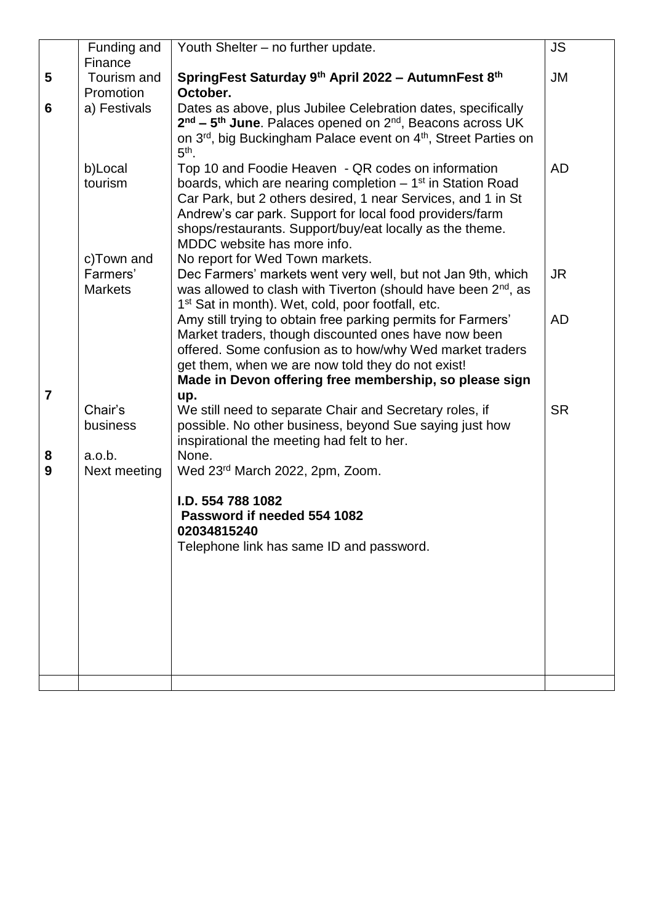|                | Funding and<br>Finance                   | Youth Shelter - no further update.                                                                                                                                                                                                                                                                                                       | <b>JS</b> |
|----------------|------------------------------------------|------------------------------------------------------------------------------------------------------------------------------------------------------------------------------------------------------------------------------------------------------------------------------------------------------------------------------------------|-----------|
| 5              | Tourism and                              | SpringFest Saturday 9th April 2022 - AutumnFest 8th                                                                                                                                                                                                                                                                                      | <b>JM</b> |
|                | Promotion                                | October.                                                                                                                                                                                                                                                                                                                                 |           |
| 6              | a) Festivals                             | Dates as above, plus Jubilee Celebration dates, specifically<br>2 <sup>nd</sup> – 5 <sup>th</sup> June. Palaces opened on 2 <sup>nd</sup> , Beacons across UK<br>on 3 <sup>rd</sup> , big Buckingham Palace event on 4 <sup>th</sup> , Street Parties on<br>$5th$ .                                                                      |           |
|                | b)Local<br>tourism                       | Top 10 and Foodie Heaven - QR codes on information<br>boards, which are nearing completion $-1st$ in Station Road<br>Car Park, but 2 others desired, 1 near Services, and 1 in St<br>Andrew's car park. Support for local food providers/farm<br>shops/restaurants. Support/buy/eat locally as the theme.<br>MDDC website has more info. | <b>AD</b> |
|                | c)Town and<br>Farmers'<br><b>Markets</b> | No report for Wed Town markets.<br>Dec Farmers' markets went very well, but not Jan 9th, which<br>was allowed to clash with Tiverton (should have been 2 <sup>nd</sup> , as<br>1 <sup>st</sup> Sat in month). Wet, cold, poor footfall, etc.                                                                                             | <b>JR</b> |
| $\overline{7}$ |                                          | Amy still trying to obtain free parking permits for Farmers'<br>Market traders, though discounted ones have now been<br>offered. Some confusion as to how/why Wed market traders<br>get them, when we are now told they do not exist!<br>Made in Devon offering free membership, so please sign<br>up.                                   | <b>AD</b> |
|                | Chair's<br>business                      | We still need to separate Chair and Secretary roles, if<br>possible. No other business, beyond Sue saying just how<br>inspirational the meeting had felt to her.                                                                                                                                                                         | <b>SR</b> |
| 8<br>9         | a.o.b.<br>Next meeting                   | None.<br>Wed 23rd March 2022, 2pm, Zoom.                                                                                                                                                                                                                                                                                                 |           |
|                |                                          | I.D. 554 788 1082<br>Password if needed 554 1082<br>02034815240<br>Telephone link has same ID and password.                                                                                                                                                                                                                              |           |
|                |                                          |                                                                                                                                                                                                                                                                                                                                          |           |